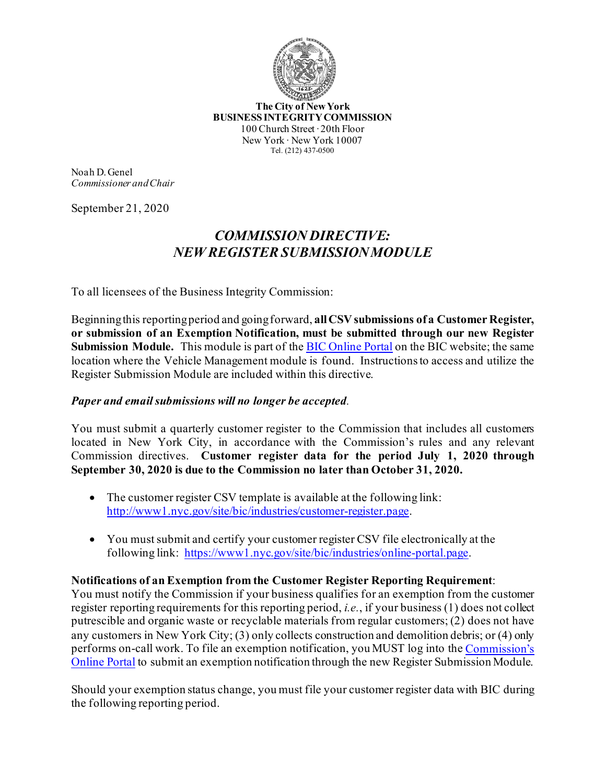

**The City of New York BUSINESS INTEGRITY COMMISSION** 100 Church Street ∙ 20th Floor New York ∙ New York 10007 Tel. (212) 437-0500

Noah D. Genel *Commissioner and Chair*

September 21, 2020

## *COMMISSION DIRECTIVE: NEW REGISTER SUBMISSION MODULE*

To all licensees of the Business Integrity Commission:

Beginning this reporting period and going forward, **all CSV submissions of a Customer Register, or submission of an Exemption Notification, must be submitted through our new Register Submission Module.** This module is part of the [BIC Online Portal](https://www1.nyc.gov/site/bic/industries/online-portal.page) on the BIC website; the same location where the Vehicle Management module is found. Instructions to access and utilize the Register Submission Module are included within this directive.

## *Paper and email submissions will no longer be accepted.*

You must submit a quarterly customer register to the Commission that includes all customers located in New York City, in accordance with the Commission's rules and any relevant Commission directives. **Customer register data for the period July 1, 2020 through September 30, 2020 is due to the Commission no later than October 31, 2020.**

- The customer register CSV template is available at the following link: [http://www1.nyc.gov/site/bic/industries/customer](https://gcc01.safelinks.protection.outlook.com/?url=http%3A%2F%2Fwww1.nyc.gov%2Fsite%2Fbic%2Findustries%2Fcustomer-register.page&data=02%7C01%7CSArrona%40bic.nyc.gov%7C037cf0846d194d117d1908d845165a3b%7C32f56fc75f814e22a95b15da66513bef%7C0%7C0%7C637335309582852688&sdata=dig6WylFiHhpI5uY3F2WgYF59c9PF2bcgUb03QJDmRU%3D&reserved=0)-register.page.
- You must submit and certify your customer register CSV file electronically at the following link: [https://www1.nyc.gov/site/bic/industries/online](https://www1.nyc.gov/site/bic/industries/online-portal.page)-portal.page.

## **Notifications of an Exemption from the Customer Register Reporting Requirement**:

You must notify the Commission if your business qualifies for an exemption from the customer register reporting requirements for this reporting period, *i.e.*, if your business (1) does not collect putrescible and organic waste or recyclable materials from regular customers; (2) does not have any customers in New York City; (3) only collects construction and demolition debris; or (4) only performs on-call work. To file an exemption notification, you MUST log into the [Commission's](https://www1.nyc.gov/site/bic/industries/online-portal.page)  [Online Portal](https://www1.nyc.gov/site/bic/industries/online-portal.page) to submit an exemption notification through the new Register Submission Module.

Should your exemption status change, you must file your customer register data with BIC during the following reporting period.